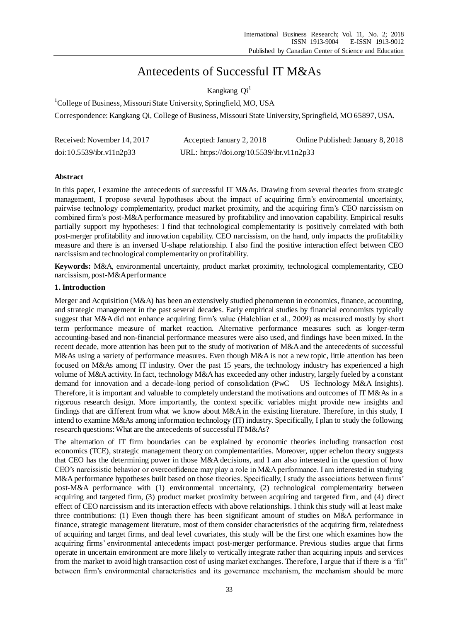# Antecedents of Successful IT M&As

Kangkang Qi<sup>1</sup>

<sup>1</sup>College of Business, Missouri State University, Springfield, MO, USA

Correspondence: Kangkang Qi, College of Business, Missouri State University, Springfield, MO 65897, USA.

| Received: November 14, 2017 | Accepted: January 2, 2018                 | Online Published: January 8, 2018 |
|-----------------------------|-------------------------------------------|-----------------------------------|
| doi:10.5539/ibr.v11n2p33    | URL: https://doi.org/10.5539/ibr.v11n2p33 |                                   |

# **Abstract**

In this paper, I examine the antecedents of successful IT M&As. Drawing from several theories from strategic management, I propose several hypotheses about the impact of acquiring firm's environmental uncertainty, pairwise technology complementarity, product market proximity, and the acquiring firm's CEO narcissism on combined firm's post-M&A performance measured by profitability and innovation capability. Empirical results partially support my hypotheses: I find that technological complementarity is positively correlated with both post-merger profitability and innovation capability. CEO narcissism, on the hand, only impacts the profitability measure and there is an inversed U-shape relationship. I also find the positive interaction effect between CEO narcissism and technological complementarity on profitability.

**Keywords:** M&A, environmental uncertainty, product market proximity, technological complementarity, CEO narcissism, post-M&A performance

## **1. Introduction**

Merger and Acquisition (M&A) has been an extensively studied phenomenon in economics, finance, accounting, and strategic management in the past several decades. Early empirical studies by financial economists typically suggest that M&A did not enhance acquiring firm's value (Haleblian et al., 2009) as measured mostly by short term performance measure of market reaction. Alternative performance measures such as longer-term accounting-based and non-financial performance measures were also used, and findings have been mixed. In the recent decade, more attention has been put to the study of motivation of M&A and the antecedents of successful M&As using a variety of performance measures. Even though M&A is not a new topic, little attention has been focused on M&As among IT industry. Over the past 15 years, the technology industry has experienced a high volume of M&A activity. In fact, technology M&A has exceeded any other industry, largely fueled by a constant demand for innovation and a decade-long period of consolidation (PwC – US Technology M&A Insights). Therefore, it is important and valuable to completely understand the motivations and outcomes of IT M&As in a rigorous research design. More importantly, the context specific variables might provide new insights and findings that are different from what we know about M&A in the existing literature. Therefore, in this study, I intend to examine M&As among information technology (IT) industry. Specifically, I plan to study the following research questions: What are the antecedents of successful IT M&As?

The alternation of IT firm boundaries can be explained by economic theories including transaction cost economics (TCE), strategic management theory on complementarities. Moreover, upper echelon theory suggests that CEO has the determining power in those M&A decisions, and I am also interested in the question of how CEO's narcissistic behavior or overconfidence may play a role in M&A performance. I am interested in studying M&A performance hypotheses built based on those theories. Specifically, I study the associations between firms' post-M&A performance with (1) environmental uncertainty, (2) technological complementarity between acquiring and targeted firm, (3) product market proximity between acquiring and targeted firm, and (4) direct effect of CEO narcissism and its interaction effects with above relationships. I think this study will at least make three contributions: (1) Even though there has been significant amount of studies on M&A performance in finance, strategic management literature, most of them consider characteristics of the acquiring firm, relatedness of acquiring and target firms, and deal level covariates, this study will be the first one which examines how the acquiring firms' environmental antecedents impact post-merger performance. Previous studies argue that firms operate in uncertain environment are more likely to vertically integrate rather than acquiring inputs and services from the market to avoid high transaction cost of using market exchanges. Therefore, I argue that if there is a "fit" between firm's environmental characteristics and its governance mechanism, the mechanism should be more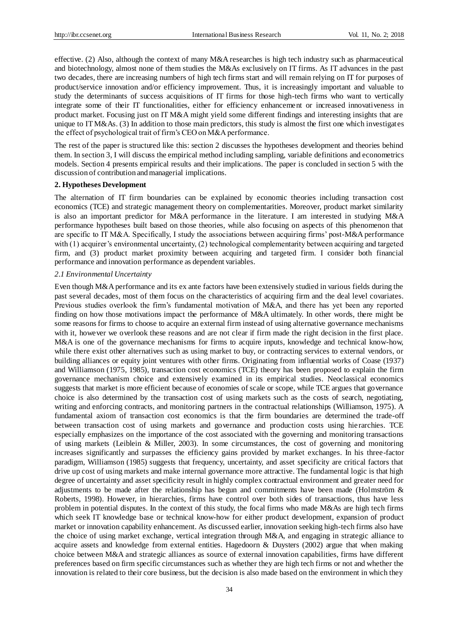effective. (2) Also, although the context of many M&A researches is high tech industry such as pharmaceutical and biotechnology, almost none of them studies the M&As exclusively on IT firms. As IT advances in the past two decades, there are increasing numbers of high tech firms start and will remain relying on IT for purposes of product/service innovation and/or efficiency improvement. Thus, it is increasingly important and valuable to study the determinants of success acquisitions of IT firms for those high-tech firms who want to vertically integrate some of their IT functionalities, either for efficiency enhancement or increased innovativeness in product market. Focusing just on IT M&A might yield some different findings and interesting insights that are unique to IT M&As. (3) In addition to those main predictors, this study is almost the first one which investigates the effect of psychological trait of firm's CEO on M&A performance.

The rest of the paper is structured like this: section 2 discusses the hypotheses development and theories behind them. In section 3, I will discuss the empirical method including sampling, variable definitions and econometrics models. Section 4 presents empirical results and their implications. The paper is concluded in section 5 with the discussion of contribution and managerial implications.

#### **2. Hypotheses Development**

The alternation of IT firm boundaries can be explained by economic theories including transaction cost economics (TCE) and strategic management theory on complementarities. Moreover, product market similarity is also an important predictor for M&A performance in the literature. I am interested in studying M&A performance hypotheses built based on those theories, while also focusing on aspects of this phenomenon that are specific to IT M&A. Specifically, I study the associations between acquiring firms' post-M&A performance with (1) acquirer's environmental uncertainty, (2) technological complementarity between acquiring and targeted firm, and (3) product market proximity between acquiring and targeted firm. I consider both financial performance and innovation performance as dependent variables.

#### *2.1 Environmental Uncertainty*

Even though M&A performance and its ex ante factors have been extensively studied in various fields during the past several decades, most of them focus on the characteristics of acquiring firm and the deal level covariates. Previous studies overlook the firm's fundamental motivation of M&A, and there has yet been any reported finding on how those motivations impact the performance of M&A ultimately. In other words, there might be some reasons for firms to choose to acquire an external firm instead of using alternative governance mechanisms with it, however we overlook these reasons and are not clear if firm made the right decision in the first place. M&A is one of the governance mechanisms for firms to acquire inputs, knowledge and technical know-how, while there exist other alternatives such as using market to buy, or contracting services to external vendors, or building alliances or equity joint ventures with other firms. Originating from influential works of Coase (1937) and Williamson (1975, 1985), transaction cost economics (TCE) theory has been proposed to explain the firm governance mechanism choice and extensively examined in its empirical studies. Neoclassical economics suggests that market is more efficient because of economies of scale or scope, while TCE argues that governance choice is also determined by the transaction cost of using markets such as the costs of search, negotiating, writing and enforcing contracts, and monitoring partners in the contractual relationships (Williamson, 1975). A fundamental axiom of transaction cost economics is that the firm boundaries are determined the trade-off between transaction cost of using markets and governance and production costs using hierarchies. TCE especially emphasizes on the importance of the cost associated with the governing and monitoring transactions of using markets (Leiblein & Miller, 2003). In some circumstances, the cost of governing and monitoring increases significantly and surpasses the efficiency gains provided by market exchanges. In his three-factor paradigm, Williamson (1985) suggests that frequency, uncertainty, and asset specificity are critical factors that drive up cost of using markets and make internal governance more attractive. The fundamental logic is that high degree of uncertainty and asset specificity result in highly complex contractual environment and greater need for adjustments to be made after the relationship has begun and commitments have been made (Holmström & Roberts, 1998). However, in hierarchies, firms have control over both sides of transactions, thus have less problem in potential disputes. In the context of this study, the focal firms who made M&As are high tech firms which seek IT knowledge base or technical know-how for either product development, expansion of product market or innovation capability enhancement. As discussed earlier, innovation seeking high-tech firms also have the choice of using market exchange, vertical integration through M&A, and engaging in strategic alliance to acquire assets and knowledge from external entities. Hagedoorn & Duysters (2002) argue that when making choice between M&A and strategic alliances as source of external innovation capabilities, firms have different preferences based on firm specific circumstances such as whether they are high tech firms or not and whether the innovation is related to their core business, but the decision is also made based on the environment in which they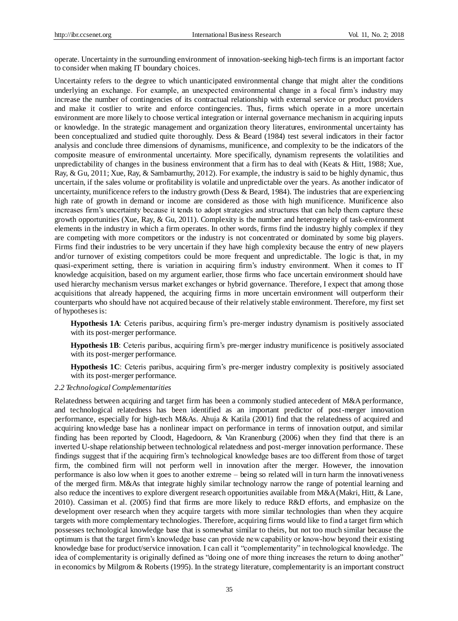operate. Uncertainty in the surrounding environment of innovation-seeking high-tech firms is an important factor to consider when making IT boundary choices.

Uncertainty refers to the degree to which unanticipated environmental change that might alter the conditions underlying an exchange. For example, an unexpected environmental change in a focal firm's industry may increase the number of contingencies of its contractual relationship with external service or product providers and make it costlier to write and enforce contingencies. Thus, firms which operate in a more uncertain environment are more likely to choose vertical integration or internal governance mechanism in acquiring inputs or knowledge. In the strategic management and organization theory literatures, environmental uncertainty has been conceptualized and studied quite thoroughly. Dess & Beard (1984) test several indicators in their factor analysis and conclude three dimensions of dynamisms, munificence, and complexity to be the indicators of the composite measure of environmental uncertainty. More specifically, dynamism represents the volatilities and unpredictability of changes in the business environment that a firm has to deal with (Keats & Hitt, 1988; Xue, Ray, & Gu, 2011; Xue, Ray, & Sambamurthy, 2012). For example, the industry is said to be highly dynamic, thus uncertain, if the sales volume or profitability is volatile and unpredictable over the years. As another indicator of uncertainty, munificence refers to the industry growth (Dess & Beard, 1984). The industries that are experiencing high rate of growth in demand or income are considered as those with high munificence. Munificence also increases firm's uncertainty because it tends to adopt strategies and structures that can help them capture these growth opportunities (Xue, Ray, & Gu, 2011). Complexity is the number and heterogeneity of task-environment elements in the industry in which a firm operates. In other words, firms find the industry highly complex if they are competing with more competitors or the industry is not concentrated or dominated by some big players. Firms find their industries to be very uncertain if they have high complexity because the entry of new players and/or turnover of existing competitors could be more frequent and unpredictable. The logic is that, in my quasi-experiment setting, there is variation in acquiring firm's industry environment. When it comes to IT knowledge acquisition, based on my argument earlier, those firms who face uncertain environment should have used hierarchy mechanism versus market exchanges or hybrid governance. Therefore, I expect that among those acquisitions that already happened, the acquiring firms in more uncertain environment will outperform their counterparts who should have not acquired because of their relatively stable environment. Therefore, my first set of hypotheses is:

**Hypothesis 1A**: Ceteris paribus, acquiring firm's pre-merger industry dynamism is positively associated with its post-merger performance.

**Hypothesis 1B**: Ceteris paribus, acquiring firm's pre-merger industry munificence is positively associated with its post-merger performance.

**Hypothesis 1C**: Ceteris paribus, acquiring firm's pre-merger industry complexity is positively associated with its post-merger performance.

#### *2.2 Technological Complementarities*

Relatedness between acquiring and target firm has been a commonly studied antecedent of M&A performance, and technological relatedness has been identified as an important predictor of post-merger innovation performance, especially for high-tech M&As. Ahuja & Katila (2001) find that the relatedness of acquired and acquiring knowledge base has a nonlinear impact on performance in terms of innovation output, and similar finding has been reported by Cloodt, Hagedoorn, & Van Kranenburg (2006) when they find that there is an inverted U-shape relationship between technological relatedness and post-merger innovation performance. These findings suggest that if the acquiring firm's technological knowledge bases are too different from those of target firm, the combined firm will not perform well in innovation after the merger. However, the innovation performance is also low when it goes to another extreme – being so related will in turn harm the innovativeness of the merged firm. M&As that integrate highly similar technology narrow the range of potential learning and also reduce the incentives to explore divergent research opportunities available from M&A (Makri, Hitt, & Lane, 2010). Cassiman et al. (2005) find that firms are more likely to reduce R&D efforts, and emphasize on the development over research when they acquire targets with more similar technologies than when they acquire targets with more complementary technologies. Therefore, acquiring firms would like to find a target firm which possesses technological knowledge base that is somewhat similar to theirs, but not too much similar because the optimum is that the target firm's knowledge base can provide new capability or know-how beyond their existing knowledge base for product/service innovation. I can call it "complementarity" in technological knowledge. The idea of complementarity is originally defined as "doing one of more thing increases the return to doing another" in economics by Milgrom & Roberts (1995). In the strategy literature, complementarity is an important construct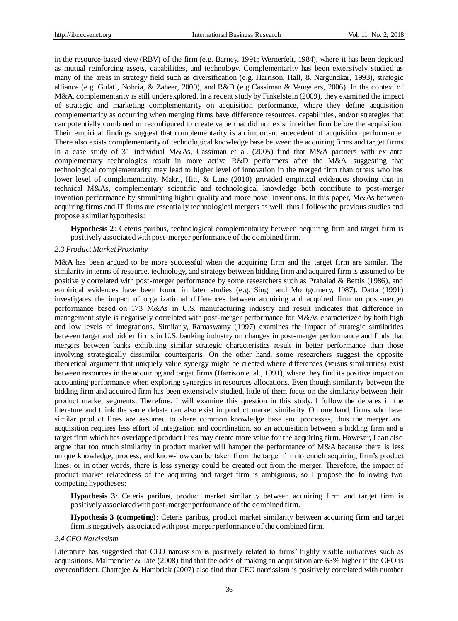in the resource-based view (RBV) of the firm (e.g. Barney, 1991; Wernerfelt, 1984), where it has been depicted as mutual reinforcing assets, capabilities, and technology. Complementarity has been extensively studied as many of the areas in strategy field such as diversification (e.g. Harrison, Hall, & Nargundkar, 1993), strategic alliance (e.g. Gulati, Nohria, & Zaheer, 2000), and R&D (e.g Cassiman & Veugelers, 2006). In the context of M&A, complementarity is still underexplored. In a recent study by Finkelstein (2009), they examined the impact of strategic and marketing complementarity on acquisition performance, where they define acquisition complementarity as occurring when merging firms have difference resources, capabilities, and/or strategies that can potentially combined or reconfigured to create value that did not exist in either firm before the acquisition. Their empirical findings suggest that complementarity is an important antecedent of acquisition performance. There also exists complementarity of technological knowledge base between the acquiring firms and target firms. In a case study of 31 individual M&As, Cassiman et al. (2005) find that M&A partners with ex ante complementary technologies result in more active R&D performers after the M&A, suggesting that technological complementarity may lead to higher level of innovation in the merged firm than others who has lower level of complementarity. Makri, Hitt, & Lane (2010) provided empirical evidences showing that in technical M&As, complementary scientific and technological knowledge both contribute to post-merger invention performance by stimulating higher quality and more novel inventions. In this paper, M&As between acquiring firms and IT firms are essentially technological mergers as well, thus I follow the previous studies and propose a similar hypothesis:

**Hypothesis 2**: Ceteris paribus, technological complementarity between acquiring firm and target firm is positively associated with post-merger performance of the combined firm.

#### *2.3 Product Market Proximity*

M&A has been argued to be more successful when the acquiring firm and the target firm are similar. The similarity in terms of resource, technology, and strategy between bidding firm and acquired firm is assumed to be positively correlated with post-merger performance by some researchers such as Prahalad & Bettis (1986), and empirical evidences have been found in later studies (e.g. Singh and Montgomery, 1987). Datta (1991) investigates the impact of organizational differences between acquiring and acquired firm on post-merger performance based on 173 M&As in U.S. manufacturing industry and result indicates that difference in management style is negatively correlated with post-merger performance for M&As characterized by both high and low levels of integrations. Similarly, Ramaswamy (1997) examines the impact of strategic similarities between target and bidder firms in U.S. banking industry on changes in post-merger performance and finds that mergers between banks exhibiting similar strategic characteristics result in better performance than those involving strategically dissimilar counterparts. On the other hand, some researchers suggest the opposite theoretical argument that uniquely value synergy might be created where differences (versus similarities) exist between resources in the acquiring and target firms (Harrison et al., 1991), where they find its positive impact on accounting performance when exploring synergies in resources allocations. Even though similarity between the bidding firm and acquired firm has been extensively studied, little of them focus on the similarity between their product market segments. Therefore, I will examine this question in this study. I follow the debates in the literature and think the same debate can also exist in product market similarity. On one hand, firms who have similar product lines are assumed to share common knowledge base and processes, thus the merger and acquisition requires less effort of integration and coordination, so an acquisition between a bidding firm and a target firm which has overlapped product lines may create more value for the acquiring firm. However, I can also argue that too much similarity in product market will hamper the performance of M&A because there is less unique knowledge, process, and know-how can be taken from the target firm to enrich acquiring firm's product lines, or in other words, there is less synergy could be created out from the merger. Therefore, the impact of product market relatedness of the acquiring and target firm is ambiguous, so I propose the following two competing hypotheses:

**Hypothesis 3**: Ceteris paribus, product market similarity between acquiring firm and target firm is positively associated with post-merger performance of the combined firm.

**Hypothesis 3 (competing)**: Ceteris paribus, product market similarity between acquiring firm and target firm is negatively associated with post-merger performance of the combined firm.

#### *2.4 CEO Narcissism*

Literature has suggested that CEO narcissism is positively related to firms' highly visible initiatives such as acquisitions. Malmendier & Tate (2008) find that the odds of making an acquisition are 65% higher if the CEO is overconfident. Chattejee & Hambrick (2007) also find that CEO narcissism is positively correlated with number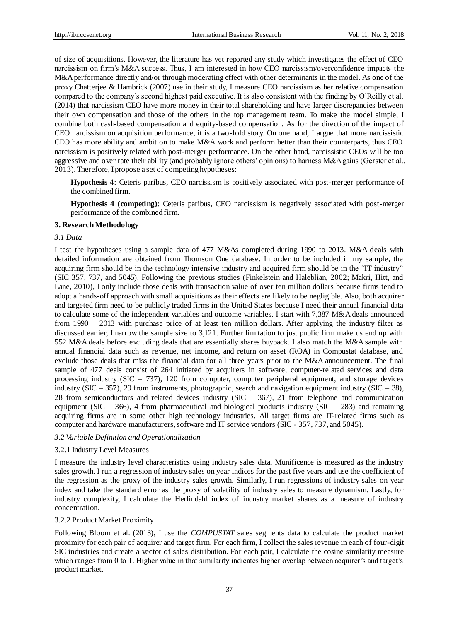of size of acquisitions. However, the literature has yet reported any study which investigates the effect of CEO narcissism on firm's M&A success. Thus, I am interested in how CEO narcissism/overconfidence impacts the M&A performance directly and/or through moderating effect with other determinants in the model. As one of the proxy Chatterjee & Hambrick (2007) use in their study, I measure CEO narcissism as her relative compensation compared to the company's second highest paid executive. It is also consistent with the finding by O'Reilly et al. (2014) that narcissism CEO have more money in their total shareholding and have larger discrepancies between their own compensation and those of the others in the top management team. To make the model simple, I combine both cash-based compensation and equity-based compensation. As for the direction of the impact of CEO narcissism on acquisition performance, it is a two-fold story. On one hand, I argue that more narcissistic CEO has more ability and ambition to make M&A work and perform better than their counterparts, thus CEO narcissism is positively related with post-merger performance. On the other hand, narcissistic CEOs will be too aggressive and over rate their ability (and probably ignore others' opinions) to harness M&A gains (Gerster et al., 2013). Therefore, I propose a set of competing hypotheses:

**Hypothesis 4**: Ceteris paribus, CEO narcissism is positively associated with post-merger performance of the combined firm.

**Hypothesis 4 (competing)**: Ceteris paribus, CEO narcissism is negatively associated with post-merger performance of the combined firm.

#### **3. Research Methodology**

## *3.1 Data*

I test the hypotheses using a sample data of 477 M&As completed during 1990 to 2013. M&A deals with detailed information are obtained from Thomson One database. In order to be included in my sample, the acquiring firm should be in the technology intensive industry and acquired firm should be in the "IT industry" (SIC 357, 737, and 5045). Following the previous studies (Finkelstein and Haleblian, 2002; Makri, Hitt, and Lane, 2010), I only include those deals with transaction value of over ten million dollars because firms tend to adopt a hands-off approach with small acquisitions as their effects are likely to be negligible. Also, both acquirer and targeted firm need to be publicly traded firms in the United States because I need their annual financial data to calculate some of the independent variables and outcome variables. I start with 7,387 M&A deals announced from 1990 – 2013 with purchase price of at least ten million dollars. After applying the industry filter as discussed earlier, I narrow the sample size to 3,121. Further limitation to just public firm make us end up with 552 M&A deals before excluding deals that are essentially shares buyback. I also match the M&A sample with annual financial data such as revenue, net income, and return on asset (ROA) in Compustat database, and exclude those deals that miss the financial data for all three years prior to the M&A announcement. The final sample of 477 deals consist of 264 initiated by acquirers in software, computer-related services and data processing industry ( $SLC - 737$ ), 120 from computer, computer peripheral equipment, and storage devices industry (SIC – 357), 29 from instruments, photographic, search and navigation equipment industry (SIC – 38), 28 from semiconductors and related devices industry (SIC – 367), 21 from telephone and communication equipment (SIC – 366), 4 from pharmaceutical and biological products industry (SIC – 283) and remaining acquiring firms are in some other high technology industries. All target firms are IT-related firms such as computer and hardware manufacturers, software and IT service vendors (SIC - 357, 737, and 5045).

## *3.2 Variable Definition and Operationalization*

## 3.2.1 Industry Level Measures

I measure the industry level characteristics using industry sales data. Munificence is measured as the industry sales growth. I run a regression of industry sales on year indices for the past five years and use the coefficient of the regression as the proxy of the industry sales growth. Similarly, I run regressions of industry sales on year index and take the standard error as the proxy of volatility of industry sales to measure dynamism. Lastly, for industry complexity, I calculate the Herfindahl index of industry market shares as a measure of industry concentration.

#### 3.2.2 Product Market Proximity

Following Bloom et al. (2013), I use the *COMPUSTAT* sales segments data to calculate the product market proximity for each pair of acquirer and target firm. For each firm, I collect the sales revenue in each of four-digit SIC industries and create a vector of sales distribution. For each pair, I calculate the cosine similarity measure which ranges from 0 to 1. Higher value in that similarity indicates higher overlap between acquirer's and target's product market.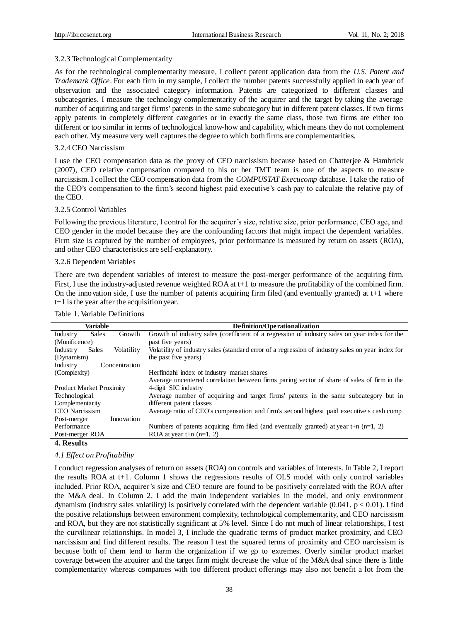#### 3.2.3 Technological Complementarity

As for the technological complementarity measure, I collect patent application data from the *U.S. Patent and Trademark Office*. For each firm in my sample, I collect the number patents successfully applied in each year of observation and the associated category information. Patents are categorized to different classes and subcategories. I measure the technology complementarity of the acquirer and the target by taking the average number of acquiring and target firms' patents in the same subcategory but in different patent classes. If two firms apply patents in completely different categories or in exactly the same class, those two firms are either too different or too similar in terms of technological know-how and capability, which means they do not complement each other. My measure very well captures the degree to which both firms are complementarities.

#### 3.2.4 CEO Narcissism

I use the CEO compensation data as the proxy of CEO narcissism because based on Chatterjee & Hambrick (2007), CEO relative compensation compared to his or her TMT team is one of the aspects to me asure narcissism. I collect the CEO compensation data from the *COMPUSTAT Execucomp* database. I take the ratio of the CEO's compensation to the firm's second highest paid executive's cash pay to calculate the relative pay of the CEO.

#### 3.2.5 Control Variables

Following the previous literature, I control for the acquirer's size, relative size, prior performance, CEO age, and CEO gender in the model because they are the confounding factors that might impact the dependent variables. Firm size is captured by the number of employees, prior performance is measured by return on assets (ROA), and other CEO characteristics are self-explanatory.

#### 3.2.6 Dependent Variables

There are two dependent variables of interest to measure the post-merger performance of the acquiring firm. First, I use the industry-adjusted revenue weighted ROA at t+1 to measure the profitability of the combined firm. On the innovation side, I use the number of patents acquiring firm filed (and eventually granted) at  $t+1$  where t+1 is the year after the acquisition year.

|                                 | Variable        | Definition/Operationalization                                                                    |  |
|---------------------------------|-----------------|--------------------------------------------------------------------------------------------------|--|
| Industry                        | Sales<br>Growth | Growth of industry sales (coefficient of a regression of industry sales on year index for the    |  |
| (Munificence)                   |                 | past five years)                                                                                 |  |
| Industry<br>Sales               | Volatility      | Volatility of industry sales (standard error of a regression of industry sales on year index for |  |
| (Dynamism)                      |                 | the past five years)                                                                             |  |
| Industry                        | Concentration   |                                                                                                  |  |
| (Complexity)                    |                 | Herfindahl index of industry market shares                                                       |  |
|                                 |                 | Average uncentered correlation between firms paring vector of share of sales of firm in the      |  |
| <b>Product Market Proximity</b> |                 | 4-digit SIC industry                                                                             |  |
| Technological                   |                 | Average number of acquiring and target firms' patents in the same subcategory but in             |  |
| Complementarity                 |                 | different patent classes                                                                         |  |
| <b>CEO</b> Narcissism           |                 | Average ratio of CEO's compensation and firm's second highest paid executive's cash comp         |  |
| Post-merger                     | Innovation      |                                                                                                  |  |
| Performance                     |                 | Numbers of patents acquiring firm filed (and eventually granted) at year t+n $(n=1, 2)$          |  |
| Post-merger ROA                 |                 | ROA at year t+n $(n=1, 2)$                                                                       |  |
| $\mathbf{A}$ and $\mathbf{B}$   |                 |                                                                                                  |  |

#### Table 1. Variable Definitions

## **4. Results**

## *4.1 Effect on Profitability*

I conduct regression analyses of return on assets (ROA) on controls and variables of interests. In Table 2, I report the results ROA at t+1. Column 1 shows the regressions results of OLS model with only control variables included. Prior ROA, acquirer's size and CEO tenure are found to be positively correlated with the ROA after the M&A deal. In Column 2, I add the main independent variables in the model, and only environment dynamism (industry sales volatility) is positively correlated with the dependent variable  $(0.041, p < 0.01)$ . I find the positive relationships between environment complexity, technological complementarity, and CEO narcissism and ROA, but they are not statistically significant at 5% level. Since I do not much of linear relationships, I test the curvilinear relationships. In model 3, I include the quadratic terms of product market proximity, and CEO narcissism and find different results. The reason I test the squared terms of proximity and CEO narcissism is because both of them tend to harm the organization if we go to extremes. Overly similar product market coverage between the acquirer and the target firm might decrease the value of the M&A deal since there is little complementarity whereas companies with too different product offerings may also not benefit a lot from the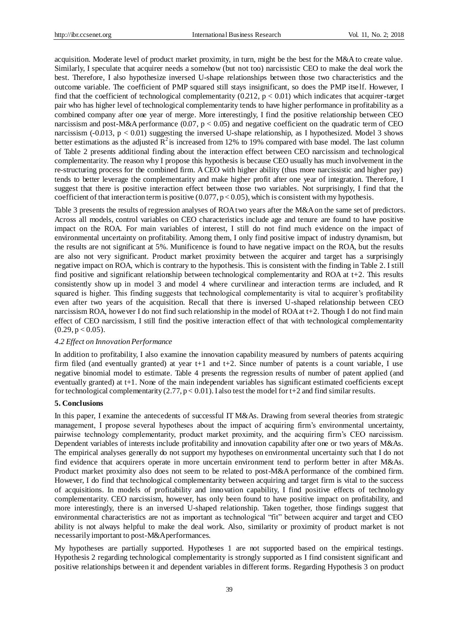acquisition. Moderate level of product market proximity, in turn, might be the best for the M&A to create value. Similarly, I speculate that acquirer needs a somehow (but not too) narcissistic CEO to make the deal work the best. Therefore, I also hypothesize inversed U-shape relationships between those two characteristics and the outcome variable. The coefficient of PMP squared still stays insignificant, so does the PMP itself. However, I find that the coefficient of technological complementarity  $(0.212, p < 0.01)$  which indicates that acquirer-target pair who has higher level of technological complementarity tends to have higher performance in profitability as a combined company after one year of merge. More interestingly, I find the positive relationship between CEO narcissism and post-M&A performance (0.07,  $p < 0.05$ ) and negative coefficient on the quadratic term of CEO narcissism  $(-0.013, p < 0.01)$  suggesting the inversed U-shape relationship, as I hypothesized. Model 3 shows better estimations as the adjusted  $R^2$  is increased from 12% to 19% compared with base model. The last column of Table 2 presents additional finding about the interaction effect between CEO narcissism and technological complementarity. The reason why I propose this hypothesis is because CEO usually has much involvement in the re-structuring process for the combined firm. A CEO with higher ability (thus more narcissistic and higher pay) tends to better leverage the complementarity and make higher profit after one year of integration. Therefore, I suggest that there is positive interaction effect between those two variables. Not surprisingly, I find that the coefficient of that interaction term is positive  $(0.077, p < 0.05)$ , which is consistent with my hypothesis.

Table 3 presents the results of regression analyses of ROA two years after the M&A on the same set of predictors. Across all models, control variables on CEO characteristics include age and tenure are found to have positive impact on the ROA. For main variables of interest, I still do not find much evidence on the impact of environmental uncertainty on profitability. Among them, I only find positive impact of industry dynamism, but the results are not significant at 5%. Munificence is found to have negative impact on the ROA, but the results are also not very significant. Product market proximity between the acquirer and target has a surprisingly negative impact on ROA, which is contrary to the hypothesis. This is consistent with the finding in Table 2. I still find positive and significant relationship between technological complementarity and ROA at t+2. This results consistently show up in model 3 and model 4 where curvilinear and interaction terms are included, and R squared is higher. This finding suggests that technological complementarity is vital to acquirer's profitability even after two years of the acquisition. Recall that there is inversed U-shaped relationship between CEO narcissism ROA, however I do not find such relationship in the model of ROA at t+2. Though I do not find main effect of CEO narcissism, I still find the positive interaction effect of that with technological complementarity  $(0.29, p < 0.05)$ .

#### *4.2 Effect on Innovation Performance*

In addition to profitability, I also examine the innovation capability measured by numbers of patents acquiring firm filed (and eventually granted) at year t+1 and t+2. Since number of patents is a count variable, I use negative binomial model to estimate. Table 4 presents the regression results of number of patent applied (and eventually granted) at t+1. None of the main independent variables has significant estimated coefficients except for technological complementarity  $(2.77, p < 0.01)$ . I also test the model for t+2 and find similar results.

#### **5. Conclusions**

In this paper, I examine the antecedents of successful IT M&As. Drawing from several theories from strategic management, I propose several hypotheses about the impact of acquiring firm's environmental uncertainty, pairwise technology complementarity, product market proximity, and the acquiring firm's CEO narcissism. Dependent variables of interests include profitability and innovation capability after one or two years of M&As. The empirical analyses generally do not support my hypotheses on environmental uncertainty such that I do not find evidence that acquirers operate in more uncertain environment tend to perform better in after M&As. Product market proximity also does not seem to be related to post-M&A performance of the combined firm. However, I do find that technological complementarity between acquiring and target firm is vital to the success of acquisitions. In models of profitability and innovation capability, I find positive effects of technolo gy complementarity. CEO narcissism, however, has only been found to have positive impact on profitability, and more interestingly, there is an inversed U-shaped relationship. Taken together, those findings suggest that environmental characteristics are not as important as technological "fit" between acquirer and target and CEO ability is not always helpful to make the deal work. Also, similarity or proximity of product market is not necessarily important to post-M&A performances.

My hypotheses are partially supported. Hypotheses 1 are not supported based on the empirical testings. Hypothesis 2 regarding technological complementarity is strongly supported as I find consistent significant and positive relationships between it and dependent variables in different forms. Regarding Hypothesis 3 on product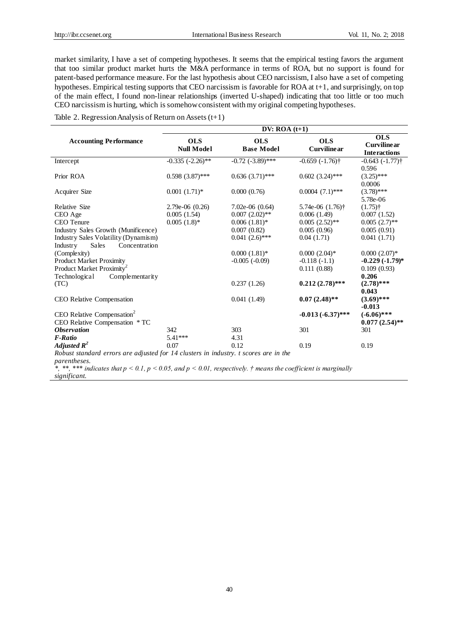market similarity, I have a set of competing hypotheses. It seems that the empirical testing favors the argument that too similar product market hurts the M&A performance in terms of ROA, but no support is found for patent-based performance measure. For the last hypothesis about CEO narcissism, I also have a set of competing hypotheses. Empirical testing supports that CEO narcissism is favorable for ROA at t+1, and surprisingly, on top of the main effect, I found non-linear relationships (inverted U-shaped) indicating that too little or too much CEO narcissism is hurting, which is somehow consistent with my original competing hypotheses.

Table 2. Regression Analysis of Return on Assets  $(t+1)$ 

|                                                                                                                                                                           | DV: ROA $(t+1)$                                   |                                                                                            |                                                                                                |                                                                             |
|---------------------------------------------------------------------------------------------------------------------------------------------------------------------------|---------------------------------------------------|--------------------------------------------------------------------------------------------|------------------------------------------------------------------------------------------------|-----------------------------------------------------------------------------|
| <b>Accounting Performance</b>                                                                                                                                             | <b>OLS</b><br><b>Null Model</b>                   | <b>OLS</b><br><b>Base Model</b>                                                            | <b>OLS</b><br><b>Curvilinear</b>                                                               | <b>OLS</b><br><b>Curvilinear</b><br><b>Interactions</b>                     |
| Intercept                                                                                                                                                                 | $-0.335$ $(-2.26)$ **                             | $-0.72$ $(-3.89)$ ***                                                                      | $-0.659(-1.76)$ <sup>+</sup>                                                                   | $-0.643(-1.77)$ †                                                           |
| Prior ROA                                                                                                                                                                 | $0.598(3.87)$ ***                                 | $0.636(3.71)$ ***                                                                          | $0.602(3.24)$ ***                                                                              | 0.596<br>$(3.25)$ ***<br>0.0006                                             |
| Acquirer Size                                                                                                                                                             | $0.001(1.71)*$                                    | 0.000(0.76)                                                                                | $0.0004(7.1)$ ***                                                                              | $(3.78)$ ***<br>5.78e-06                                                    |
| <b>Relative Size</b><br>CEO Age<br><b>CEO</b> Tenure<br>Industry Sales Growth (Munificence)<br>Industry Sales Volatility (Dynamism)<br>Industry<br>Sales<br>Concentration | $2.79e-06(0.26)$<br>0.005(1.54)<br>$0.005(1.8)$ * | $7.02e-06(0.64)$<br>$0.007(2.02)$ **<br>$0.006(1.81)$ *<br>0.007(0.82)<br>$0.041(2.6)$ *** | 5.74e-06 $(1.76)$ <sup>†</sup><br>0.006(1.49)<br>$0.005(2.52)$ **<br>0.005(0.96)<br>0.04(1.71) | $(1.75)$ †<br>0.007(1.52)<br>$0.005(2.7)$ **<br>0.005(0.91)<br>0.041(1.71)  |
| (Complexity)<br><b>Product Market Proximity</b><br>Product Market Proximity <sup>2</sup><br>Technological<br>Complementarity<br>(TC)                                      |                                                   | $0.000(1.81)$ *<br>$-0.005(-0.09)$<br>0.237(1.26)                                          | $0.000(2.04)$ *<br>$-0.118(-1.1)$<br>0.111(0.88)<br>$0.212(2.78)$ ***                          | $0.000(2.07)*$<br>$-0.229(-1.79)$ *<br>0.109(0.93)<br>0.206<br>$(2.78)$ *** |
| CEO Relative Compensation                                                                                                                                                 |                                                   | 0.041(1.49)                                                                                | $0.07(2.48)$ **                                                                                | 0.043<br>$(3.69)$ ***<br>$-0.013$                                           |
| CEO Relative Compensation <sup>2</sup><br>CEO Relative Compensation * TC                                                                                                  |                                                   |                                                                                            | $-0.013(-6.37)$ ***                                                                            | $(-6.06)$ ***<br>$0.077(2.54)$ **                                           |
| <i><b>Observation</b></i><br><b>F-Ratio</b>                                                                                                                               | 342<br>$5.41***$                                  | 303<br>4.31                                                                                | 301                                                                                            | 301                                                                         |
| Adjusted $R^2$<br>Robust standard errors are adjusted for 14 clusters in industry. t scores are in the<br>parentheses.                                                    | 0.07                                              | 0.12                                                                                       | 0.19                                                                                           | 0.19                                                                        |

*\*, \*\*, \*\*\* indicates that p < 0.1, p < 0.05, and p < 0.01, respectively. † means the coefficient is marginally significant.*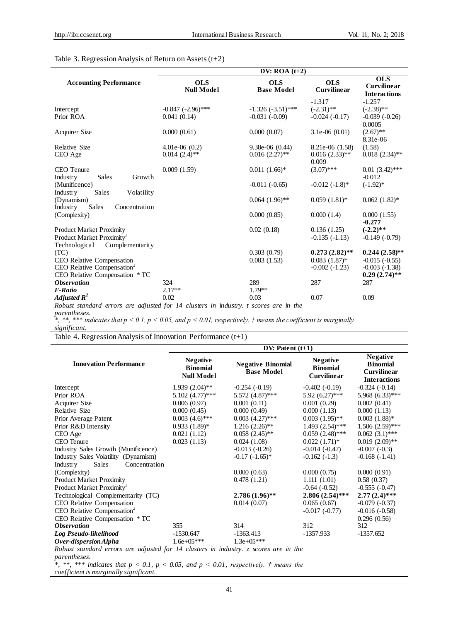|                                                                                                                                 | DV: ROA $(t+2)$                 |                                   |                                  |                                                         |
|---------------------------------------------------------------------------------------------------------------------------------|---------------------------------|-----------------------------------|----------------------------------|---------------------------------------------------------|
| <b>Accounting Performance</b>                                                                                                   | <b>OLS</b><br><b>Null Model</b> | <b>OLS</b><br><b>Base Model</b>   | <b>OLS</b><br><b>Curvilinear</b> | <b>OLS</b><br><b>Curvilinear</b><br><b>Interactions</b> |
|                                                                                                                                 |                                 |                                   | $-1.317$                         | $-1.257$                                                |
| Intercept                                                                                                                       | $-0.847$ $(-2.96)$ ***          | $-1.326 (-3.51)$ ***              | $(-2.31)$ **                     | $(-2.38)$ **                                            |
| Prior ROA                                                                                                                       | 0.041(0.14)                     | $-0.031(-0.09)$                   | $-0.024(-0.17)$                  | $-0.039(-0.26)$                                         |
|                                                                                                                                 |                                 |                                   |                                  | 0.0005                                                  |
| Acquirer Size                                                                                                                   | 0.000(0.61)                     | 0.000(0.07)                       | $3.1e-06(0.01)$                  | $(2.67)$ **                                             |
|                                                                                                                                 |                                 |                                   |                                  | 8.31e-06                                                |
| <b>Relative Size</b>                                                                                                            | $4.01e-06(0.2)$                 | $9.38e-06(0.44)$                  | 8.21e-06 (1.58)                  | (1.58)                                                  |
| CEO Age                                                                                                                         | $0.014(2.4)$ **                 | $0.016(2.27)$ **                  | $0.016(2.33)$ **                 | $0.018(2.34)$ **                                        |
|                                                                                                                                 |                                 |                                   | 0.009                            |                                                         |
| <b>CEO</b> Tenure                                                                                                               | 0.009(1.59)                     | $0.011(1.66)*$                    | $(3.07)$ ***                     | $0.01(3.42)$ ***                                        |
| Sales<br>Growth<br>Industry                                                                                                     |                                 |                                   |                                  | $-0.012$                                                |
| (Munificence)                                                                                                                   |                                 | $-0.011(-0.65)$                   | $-0.012(-1.8)$ *                 | $(-1.92)*$                                              |
| Industry<br>Sales<br>Volatility                                                                                                 |                                 |                                   |                                  |                                                         |
| (Dynamism)                                                                                                                      |                                 | $0.064$ $(1.96)$ **               | $0.059(1.81)$ *                  | $0.062(1.82)$ *                                         |
| Sales<br>Concentration<br>Industry                                                                                              |                                 |                                   |                                  |                                                         |
| (Complexity)                                                                                                                    |                                 | 0.000(0.85)                       | 0.000(1.4)                       | 0.000(1.55)                                             |
|                                                                                                                                 |                                 |                                   |                                  | $-0.277$                                                |
| <b>Product Market Proximity</b>                                                                                                 |                                 | 0.02(0.18)                        | 0.136(1.25)                      | $(-2.2)$ **                                             |
| Product Market Proximity <sup>2</sup>                                                                                           |                                 |                                   | $-0.135(-1.13)$                  | $-0.149(-0.79)$                                         |
| Technological<br>Complementarity                                                                                                |                                 |                                   |                                  |                                                         |
| (TC)                                                                                                                            |                                 | 0.303(0.79)                       | $0.273(2.82)$ **                 | $0.244(2.58)$ **                                        |
| CEO Relative Compensation                                                                                                       |                                 | 0.083(1.53)                       | $0.083(1.87)^*$                  | $-0.015(-0.55)$                                         |
| CEO Relative Compensation <sup>2</sup>                                                                                          |                                 |                                   | $-0.002(-1.23)$                  | $-0.003(-1.38)$                                         |
| CEO Relative Compensation * TC                                                                                                  |                                 |                                   |                                  | $0.29(2.74)$ **                                         |
| <i><b>Observation</b></i>                                                                                                       | 324                             | 289                               | 287                              | 287                                                     |
| <b>F-Ratio</b>                                                                                                                  | $2.17**$                        | $1.79**$                          |                                  |                                                         |
| Adjusted $R^2$<br>$\mathbf{D}$ about a constant constant and a directed from $\mathbf{L}$ about the direction of a constant and | 0.02                            | 0.03<br>$\mathbf{L}$ $\mathbf{L}$ | 0.07                             | 0.09                                                    |

## Table 3. Regression Analysis of Return on Assets  $(t+2)$

*Robust standard errors are adjusted for 14 clusters in industry. t scores are in the* 

*parentheses.*

*\*, \*\*, \*\*\* indicates that p < 0.1, p < 0.05, and p < 0.01, respectively. † means the coefficient is marginally significant.*

Table 4. Regression Analysis of Innovation Performance (t+1)

|                                                                                            | DV: Patent $(t+1)$                                       |                                               |                                                           |                                                                                  |  |
|--------------------------------------------------------------------------------------------|----------------------------------------------------------|-----------------------------------------------|-----------------------------------------------------------|----------------------------------------------------------------------------------|--|
| <b>Innovation Performance</b>                                                              | <b>Negative</b><br><b>B</b> inomial<br><b>Null Model</b> | <b>Negative Binomial</b><br><b>Base Model</b> | <b>Negative</b><br><b>B</b> inomial<br><b>Curvilinear</b> | <b>Negative</b><br><b>B</b> inomial<br><b>Curvilinear</b><br><b>Interactions</b> |  |
| Intercept                                                                                  | $1.939(2.04)$ **                                         | $-0.254(-0.19)$                               | $-0.402(-0.19)$                                           | $-0.324(-0.14)$                                                                  |  |
| Prior ROA                                                                                  | $5.102 (4.77)$ ***                                       | $5.572(4.87)$ ***                             | $5.92(6.27)$ ***                                          | $5.968(6.33)$ ***                                                                |  |
| Acquirer Size                                                                              | 0.006(0.97)                                              | 0.001(0.11)                                   | 0.001(0.29)                                               | 0.002(0.41)                                                                      |  |
| <b>Relative Size</b>                                                                       | 0.000(0.45)                                              | 0.000(0.49)                                   | 0.000(1.13)                                               | 0.000(1.13)                                                                      |  |
| Prior Average Patent                                                                       | $0.003(4.6)$ ***                                         | $0.003(4.27)$ ***                             | $0.003(1.95)$ **                                          | $0.003(1.88)*$                                                                   |  |
| Prior R&D Intensity                                                                        | $0.933(1.89)$ *                                          | $1.216(2.26)$ **                              | $1.493(2.54)$ ***                                         | $1.506(2.59)$ ***                                                                |  |
| CEO Age                                                                                    | 0.021(1.12)                                              | $0.058(2.45)$ **                              | $0.059(2.48)$ ***                                         | $0.062(3.1)$ ***                                                                 |  |
| <b>CEO</b> Tenure                                                                          | 0.023(1.13)                                              | 0.024(1.08)                                   | $0.022(1.71)$ *                                           | $0.019(2.09)$ **                                                                 |  |
| Industry Sales Growth (Munificence)                                                        |                                                          | $-0.013(-0.26)$                               | $-0.014(-0.47)$                                           | $-0.007(-0.3)$                                                                   |  |
| Industry Sales Volatility (Dynamism)                                                       |                                                          | $-0.17$ $(-1.65)$ *                           | $-0.162(-1.3)$                                            | $-0.168(-1.41)$                                                                  |  |
| Sales<br>Industry<br>Concentration                                                         |                                                          |                                               |                                                           |                                                                                  |  |
| (Complexity)                                                                               |                                                          | 0.000(0.63)                                   | 0.000(0.75)                                               | 0.000(0.91)                                                                      |  |
| <b>Product Market Proximity</b>                                                            |                                                          | 0.478(1.21)                                   | 1.111(1.01)                                               | 0.58(0.37)                                                                       |  |
| Product Market Proximity <sup>2</sup>                                                      |                                                          |                                               | $-0.64(-0.52)$                                            | $-0.555(-0.47)$                                                                  |  |
| Technological Complementarity (TC)                                                         |                                                          | $2.786(1.96)$ **                              | $2.806(2.54)$ ***                                         | $2.77(2.4)$ ***                                                                  |  |
| CEO Relative Compensation                                                                  |                                                          | 0.014(0.07)                                   | 0.065(0.67)                                               | $-0.079(-0.37)$                                                                  |  |
| CEO Relative Compensation <sup>2</sup>                                                     |                                                          |                                               | $-0.017(-0.77)$                                           | $-0.016(-0.58)$                                                                  |  |
| CEO Relative Compensation * TC                                                             |                                                          |                                               |                                                           | 0.296(0.56)                                                                      |  |
| <i><b>Observation</b></i>                                                                  | 355                                                      | 314                                           | 312                                                       | 312                                                                              |  |
| Log Pseudo-likelihood                                                                      | $-1530.647$                                              | $-1363.413$                                   | -1357.933                                                 | $-1357.652$                                                                      |  |
| Over-dispersion Alpha                                                                      | $1.6e+05***$                                             | $1.3e+05***$                                  |                                                           |                                                                                  |  |
| $D$ obust standard synons and adjusted for 14 sheetens in industry $\pi$ secres and in the |                                                          |                                               |                                                           |                                                                                  |  |

*Robust standard errors are adjusted for 14 clusters in industry. z scores are in the parentheses.*

*\*, \*\*, \*\*\* indicates that p < 0.1, p < 0.05, and p < 0.01, respectively. † means the coefficient is marginally significant.*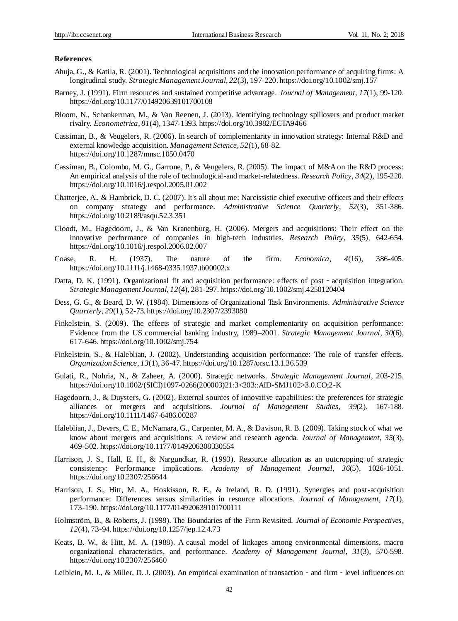#### **References**

- Ahuja, G., & Katila, R. (2001). Technological acquisitions and the innovation performance of acquiring firms: A longitudinal study. *Strategic Management Journal*, *22*(3), 197-220. https://doi.org/10.1002/smj.157
- Barney, J. (1991). Firm resources and sustained competitive advantage. *Journal of Management*, *17*(1), 99-120. https://doi.org/10.1177/014920639101700108
- Bloom, N., Schankerman, M., & Van Reenen, J. (2013). Identifying technology spillovers and product market rivalry. *Econometrica*, *81*(4), 1347-1393. https://doi.org/10.3982/ECTA9466
- Cassiman, B., & Veugelers, R. (2006). In search of complementarity in innovation strategy: Internal R&D and external knowledge acquisition. *Management Science*, *52*(1), 68-82. https://doi.org/10.1287/mnsc.1050.0470
- Cassiman, B., Colombo, M. G., Garrone, P., & Veugelers, R. (2005). The impact of M&A on the R&D process: An empirical analysis of the role of technological-and market-relatedness. *Research Policy*, *34*(2), 195-220. https://doi.org/10.1016/j.respol.2005.01.002
- Chatterjee, A., & Hambrick, D. C. (2007). It's all about me: Narcissistic chief executive officers and their effects on company strategy and performance. *Administrative Science Quarterly*, *52*(3), 351-386. https://doi.org/10.2189/asqu.52.3.351
- Cloodt, M., Hagedoorn, J., & Van Kranenburg, H. (2006). Mergers and acquisitions: Their effect on the innovative performance of companies in high-tech industries. *Research Policy*, *35*(5), 642-654. https://doi.org/10.1016/j.respol.2006.02.007
- Coase, R. H. (1937). The nature of the firm. *Economica*, *4*(16), 386-405. https://doi.org/10.1111/j.1468-0335.1937.tb00002.x
- Datta, D. K. (1991). Organizational fit and acquisition performance: effects of post acquisition integration. *Strategic Management Journal*, *12*(4), 281-297. https://doi.org/10.1002/smj.4250120404
- Dess, G. G., & Beard, D. W. (1984). Dimensions of Organizational Task Environments. *Administrative Science Quarterly*, *29*(1), 52-73. https://doi.org/10.2307/2393080
- Finkelstein, S. (2009). The effects of strategic and market complementarity on acquisition performance: Evidence from the US commercial banking industry, 1989–2001. *Strategic Management Journal*, *30*(6), 617-646. https://doi.org/10.1002/smj.754
- Finkelstein, S., & Haleblian, J. (2002). Understanding acquisition performance: The role of transfer effects. *Organization Science*, *13*(1), 36-47. https://doi.org/10.1287/orsc.13.1.36.539
- Gulati, R., Nohria, N., & Zaheer, A. (2000). Strategic networks. *Strategic Management Journal*, 203-215. https://doi.org/10.1002/(SICI)1097-0266(200003)21:3<203::AID-SMJ102>3.0.CO;2-K
- Hagedoorn, J., & Duysters, G. (2002). External sources of innovative capabilities: the preferences for strategic alliances or mergers and acquisitions. *Journal of Management Studies*, *39*(2), 167-188. https://doi.org/10.1111/1467-6486.00287
- Haleblian, J., Devers, C. E., McNamara, G., Carpenter, M. A., & Davison, R. B. (2009). Taking stock of what we know about mergers and acquisitions: A review and research agenda. *Journal of Management*, *35*(3), 469-502. https://doi.org/10.1177/0149206308330554
- Harrison, J. S., Hall, E. H., & Nargundkar, R. (1993). Resource allocation as an outcropping of strategic consistency: Performance implications. *Academy of Management Journal*, *36*(5), 1026-1051. https://doi.org/10.2307/256644
- Harrison, J. S., Hitt, M. A., Hoskisson, R. E., & Ireland, R. D. (1991). Synergies and post-acquisition performance: Differences versus similarities in resource allocations. *Journal of Management*, *17*(1), 173-190. https://doi.org/10.1177/014920639101700111
- Holmström, B., & Roberts, J. (1998). The Boundaries of the Firm Revisited. *Journal of Economic Perspectives*, *12*(4), 73-94. https://doi.org/10.1257/jep.12.4.73
- Keats, B. W., & Hitt, M. A. (1988). A causal model of linkages among environmental dimensions, macro organizational characteristics, and performance. *Academy of Management Journal*, *31*(3), 570-598. https://doi.org/10.2307/256460
- Leiblein, M. J., & Miller, D. J. (2003). An empirical examination of transaction and firm level influences on